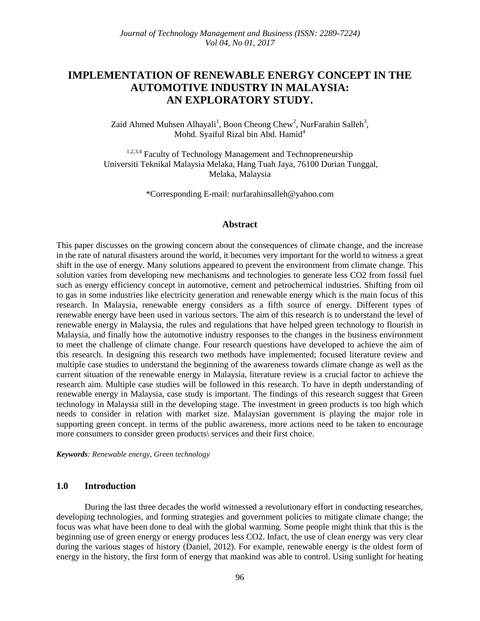# **IMPLEMENTATION OF RENEWABLE ENERGY CONCEPT IN THE AUTOMOTIVE INDUSTRY IN MALAYSIA: AN EXPLORATORY STUDY.**

Zaid Ahmed Muhsen Alhayali<sup>1</sup>, Boon Cheong Chew<sup>2</sup>, NurFarahin Salleh<sup>3</sup>, Mohd. Syaiful Rizal bin Abd. Hamid<sup>4</sup>

<sup>1,2,3,4</sup> Faculty of Technology Management and Technopreneurship Universiti Teknikal Malaysia Melaka, Hang Tuah Jaya, 76100 Durian Tunggal, Melaka, Malaysia

\*Corresponding E-mail: [nurfarahinsalleh@yahoo.com](mailto:nurfarahinsalleh@yahoo.com)

#### **Abstract**

This paper discusses on the growing concern about the consequences of climate change, and the increase in the rate of natural disasters around the world, it becomes very important for the world to witness a great shift in the use of energy. Many solutions appeared to prevent the environment from climate change. This solution varies from developing new mechanisms and technologies to generate less CO2 from fossil fuel such as energy efficiency concept in automotive, cement and petrochemical industries. Shifting from oil to gas in some industries like electricity generation and renewable energy which is the main focus of this research. In Malaysia, renewable energy considers as a fifth source of energy. Different types of renewable energy have been used in various sectors. The aim of this research is to understand the level of renewable energy in Malaysia, the rules and regulations that have helped green technology to flourish in Malaysia, and finally how the automotive industry responses to the changes in the business environment to meet the challenge of climate change. Four research questions have developed to achieve the aim of this research. In designing this research two methods have implemented; focused literature review and multiple case studies to understand the beginning of the awareness towards climate change as well as the current situation of the renewable energy in Malaysia, literature review is a crucial factor to achieve the research aim. Multiple case studies will be followed in this research. To have in depth understanding of renewable energy in Malaysia, case study is important. The findings of this research suggest that Green technology in Malaysia still in the developing stage. The investment in green products is too high which needs to consider in relation with market size. Malaysian government is playing the major role in supporting green concept. in terms of the public awareness, more actions need to be taken to encourage more consumers to consider green products\ services and their first choice.

*Keywords: Renewable energy, Green technology*

#### **1.0 Introduction**

During the last three decades the world witnessed a revolutionary effort in conducting researches, developing technologies, and forming strategies and government policies to mitigate climate change; the focus was what have been done to deal with the global warming. Some people might think that this is the beginning use of green energy or energy produces less CO2. Infact, the use of clean energy was very clear during the various stages of history (Daniel, 2012). For example, renewable energy is the oldest form of energy in the history, the first form of energy that mankind was able to control. Using sunlight for heating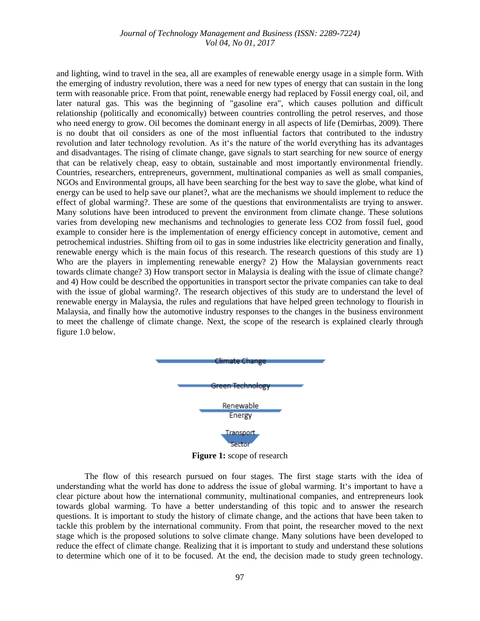and lighting, wind to travel in the sea, all are examples of renewable energy usage in a simple form. With the emerging of industry revolution, there was a need for new types of energy that can sustain in the long term with reasonable price. From that point, renewable energy had replaced by Fossil energy coal, oil, and later natural gas. This was the beginning of "gasoline era", which causes pollution and difficult relationship (politically and economically) between countries controlling the petrol reserves, and those who need energy to grow. Oil becomes the dominant energy in all aspects of life (Demirbas, 2009). There is no doubt that oil considers as one of the most influential factors that contributed to the industry revolution and later technology revolution. As it's the nature of the world everything has its advantages and disadvantages. The rising of climate change, gave signals to start searching for new source of energy that can be relatively cheap, easy to obtain, sustainable and most importantly environmental friendly. Countries, researchers, entrepreneurs, government, multinational companies as well as small companies, NGOs and Environmental groups, all have been searching for the best way to save the globe, what kind of energy can be used to help save our planet?, what are the mechanisms we should implement to reduce the effect of global warming?. These are some of the questions that environmentalists are trying to answer. Many solutions have been introduced to prevent the environment from climate change. These solutions varies from developing new mechanisms and technologies to generate less CO2 from fossil fuel, good example to consider here is the implementation of energy efficiency concept in automotive, cement and petrochemical industries. Shifting from oil to gas in some industries like electricity generation and finally, renewable energy which is the main focus of this research. The research questions of this study are 1) Who are the players in implementing renewable energy? 2) How the Malaysian governments react towards climate change? 3) How transport sector in Malaysia is dealing with the issue of climate change? and 4) How could be described the opportunities in transport sector the private companies can take to deal with the issue of global warming?. The research objectives of this study are to understand the level of renewable energy in Malaysia, the rules and regulations that have helped green technology to flourish in Malaysia, and finally how the automotive industry responses to the changes in the business environment to meet the challenge of climate change. Next, the scope of the research is explained clearly through figure 1.0 below.



**Figure 1:** scope of research

The flow of this research pursued on four stages. The first stage starts with the idea of understanding what the world has done to address the issue of global warming. It's important to have a clear picture about how the international community, multinational companies, and entrepreneurs look towards global warming. To have a better understanding of this topic and to answer the research questions. It is important to study the history of climate change, and the actions that have been taken to tackle this problem by the international community. From that point, the researcher moved to the next stage which is the proposed solutions to solve climate change. Many solutions have been developed to reduce the effect of climate change. Realizing that it is important to study and understand these solutions to determine which one of it to be focused. At the end, the decision made to study green technology.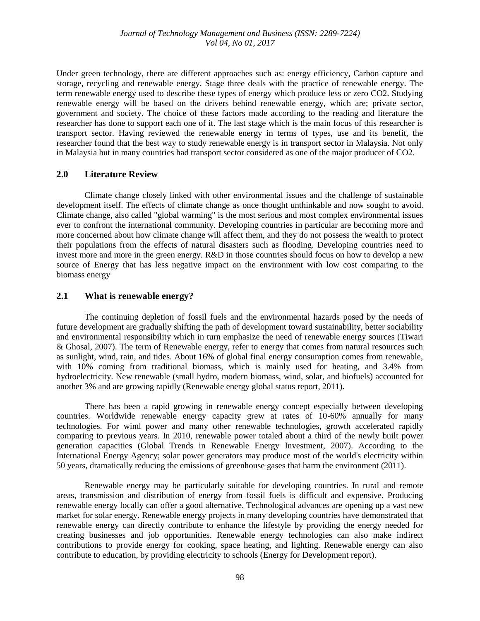Under green technology, there are different approaches such as: energy efficiency, Carbon capture and storage, recycling and renewable energy. Stage three deals with the practice of renewable energy. The term renewable energy used to describe these types of energy which produce less or zero CO2. Studying renewable energy will be based on the drivers behind renewable energy, which are; private sector, government and society. The choice of these factors made according to the reading and literature the researcher has done to support each one of it. The last stage which is the main focus of this researcher is transport sector. Having reviewed the renewable energy in terms of types, use and its benefit, the researcher found that the best way to study renewable energy is in transport sector in Malaysia. Not only in Malaysia but in many countries had transport sector considered as one of the major producer of CO2.

### **2.0 Literature Review**

Climate change closely linked with other environmental issues and the challenge of sustainable development itself. The effects of climate change as once thought unthinkable and now sought to avoid. Climate change, also called "global warming" is the most serious and most complex environmental issues ever to confront the international community. Developing countries in particular are becoming more and more concerned about how climate change will affect them, and they do not possess the wealth to protect their populations from the effects of natural disasters such as flooding. Developing countries need to invest more and more in the green energy. R&D in those countries should focus on how to develop a new source of Energy that has less negative impact on the environment with low cost comparing to the biomass energy

### **2.1 What is renewable energy?**

The continuing depletion of fossil fuels and the environmental hazards posed by the needs of future development are gradually shifting the path of development toward sustainability, better sociability and environmental responsibility which in turn emphasize the need of renewable energy sources (Tiwari & Ghosal, 2007). The term of Renewable energy, refer to energy that comes from natural resources such as sunlight, wind, rain, and tides. About 16% of global final energy consumption comes from renewable, with 10% coming from traditional biomass, which is mainly used for heating, and 3.4% from hydroelectricity. New renewable (small hydro, modern biomass, wind, solar, and biofuels) accounted for another 3% and are growing rapidly (Renewable energy global status report, 2011).

There has been a rapid growing in renewable energy concept especially between developing countries. Worldwide renewable energy capacity grew at rates of 10-60% annually for many technologies. For wind power and many other renewable technologies, growth accelerated rapidly comparing to previous years. In 2010, renewable power totaled about a third of the newly built power generation capacities (Global Trends in Renewable Energy Investment, 2007). According to the International Energy Agency; solar power generators may produce most of the world's electricity within 50 years, dramatically reducing the emissions of greenhouse gases that harm the environment (2011).

Renewable energy may be particularly suitable for developing countries. In rural and remote areas, transmission and distribution of energy from fossil fuels is difficult and expensive. Producing renewable energy locally can offer a good alternative. Technological advances are opening up a vast new market for solar energy. Renewable energy projects in many developing countries have demonstrated that renewable energy can directly contribute to enhance the lifestyle by providing the energy needed for creating businesses and job opportunities. Renewable energy technologies can also make indirect contributions to provide energy for cooking, space heating, and lighting. Renewable energy can also contribute to education, by providing electricity to schools (Energy for Development report).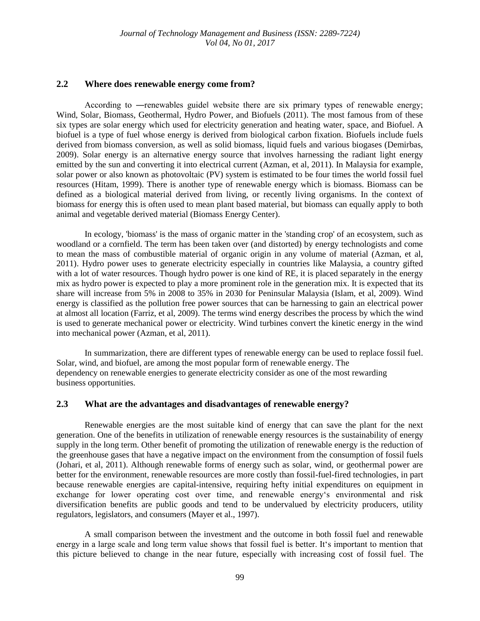### **2.2 Where does renewable energy come from?**

According to —renewables guidel website there are six primary types of renewable energy; Wind, Solar, Biomass, Geothermal, Hydro Power, and Biofuels (2011). The most famous from of these six types are solar energy which used for electricity generation and heating water, space, and Biofuel. A biofuel is a type of fuel whose energy is derived from biological carbon fixation. Biofuels include fuels derived from biomass conversion, as well as solid biomass, liquid fuels and various biogases (Demirbas, 2009). Solar energy is an alternative energy source that involves harnessing the radiant light energy emitted by the sun and converting it into electrical current (Azman, et al, 2011). In Malaysia for example, solar power or also known as photovoltaic (PV) system is estimated to be four times the world fossil fuel resources (Hitam, 1999). There is another type of renewable energy which is biomass. Biomass can be defined as a biological material derived from living, or recently living organisms. In the context of biomass for energy this is often used to mean plant based material, but biomass can equally apply to both animal and vegetable derived material (Biomass Energy Center).

In ecology, 'biomass' is the mass of organic matter in the 'standing crop' of an ecosystem, such as woodland or a cornfield. The term has been taken over (and distorted) by energy technologists and come to mean the mass of combustible material of organic origin in any volume of material (Azman, et al, 2011). Hydro power uses to generate electricity especially in countries like Malaysia, a country gifted with a lot of water resources. Though hydro power is one kind of RE, it is placed separately in the energy mix as hydro power is expected to play a more prominent role in the generation mix. It is expected that its share will increase from 5% in 2008 to 35% in 2030 for Peninsular Malaysia (Islam, et al, 2009). Wind energy is classified as the pollution free power sources that can be harnessing to gain an electrical power at almost all location (Farriz, et al, 2009). The terms wind energy describes the process by which the wind is used to generate mechanical power or electricity. Wind turbines convert the kinetic energy in the wind into mechanical power (Azman, et al, 2011).

In summarization, there are different types of renewable energy can be used to replace fossil fuel. Solar, wind, and biofuel, are among the most popular form of renewable energy. The dependency on renewable energies to generate electricity consider as one of the most rewarding business opportunities.

#### **2.3 What are the advantages and disadvantages of renewable energy?**

Renewable energies are the most suitable kind of energy that can save the plant for the next generation. One of the benefits in utilization of renewable energy resources is the sustainability of energy supply in the long term. Other benefit of promoting the utilization of renewable energy is the reduction of the greenhouse gases that have a negative impact on the environment from the consumption of fossil fuels (Johari, et al, 2011). Although renewable forms of energy such as solar, wind, or geothermal power are better for the environment, renewable resources are more costly than fossil-fuel-fired technologies, in part because renewable energies are capital-intensive, requiring hefty initial expenditures on equipment in exchange for lower operating cost over time, and renewable energy's environmental and risk diversification benefits are public goods and tend to be undervalued by electricity producers, utility regulators, legislators, and consumers (Mayer et al., 1997).

A small comparison between the investment and the outcome in both fossil fuel and renewable energy in a large scale and long term value shows that fossil fuel is better. It's important to mention that this picture believed to change in the near future, especially with increasing cost of fossil fuel. The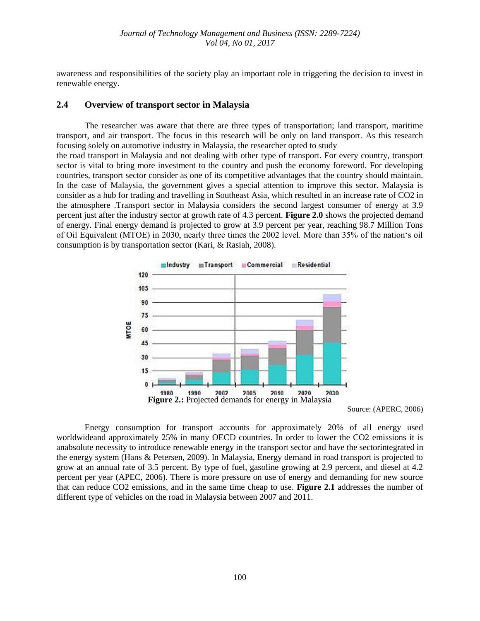awareness and responsibilities of the society play an important role in triggering the decision to invest in renewable energy.

### **2.4 Overview of transport sector in Malaysia**

The researcher was aware that there are three types of transportation; land transport, maritime transport, and air transport. The focus in this research will be only on land transport. As this research focusing solely on automotive industry in Malaysia, the researcher opted to study

the road transport in Malaysia and not dealing with other type of transport. For every country, transport sector is vital to bring more investment to the country and push the economy foreword. For developing countries, transport sector consider as one of its competitive advantages that the country should maintain. In the case of Malaysia, the government gives a special attention to improve this sector. Malaysia is consider as a hub for trading and travelling in Southeast Asia, which resulted in an increase rate of CO2 in the atmosphere .Transport sector in Malaysia considers the second largest consumer of energy at 3.9 percent just after the industry sector at growth rate of 4.3 percent. **Figure 2.0** shows the projected demand of energy. Final energy demand is projected to grow at 3.9 percent per year, reaching 98.7 Million Tons of Oil Equivalent (MTOE) in 2030, nearly three times the 2002 level. More than 35% of the nation's oil consumption is by transportation sector (Kari, & Rasiah, 2008).



Source: (APERC, 2006)

Energy consumption for transport accounts for approximately 20% of all energy used worldwideand approximately 25% in many OECD countries. In order to lower the CO2 emissions it is anabsolute necessity to introduce renewable energy in the transport sector and have the sectorintegrated in the energy system (Hans & Petersen, 2009). In Malaysia, Energy demand in road transport is projected to grow at an annual rate of 3.5 percent. By type of fuel, gasoline growing at 2.9 percent, and diesel at 4.2 percent per year (APEC, 2006). There is more pressure on use of energy and demanding for new source that can reduce CO2 emissions, and in the same time cheap to use. **Figure 2.1** addresses the number of different type of vehicles on the road in Malaysia between 2007 and 2011.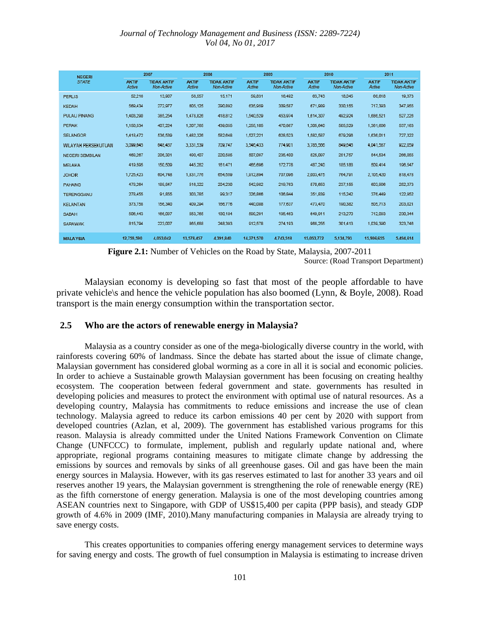| <b>NEGERI</b>             |                        | 2007                             |                 | 2008                             |                 | 2009                             |                 | 2010                             | 2011                   |                                  |
|---------------------------|------------------------|----------------------------------|-----------------|----------------------------------|-----------------|----------------------------------|-----------------|----------------------------------|------------------------|----------------------------------|
| <b>STATE</b>              | <b>AKTIF</b><br>Active | <b>TIDAK AKTIF</b><br>Non-Active | AKTIF<br>Active | <b>TIDAK AKTIF</b><br>Non-Active | AKTIF<br>Active | <b>TIDAK AKTIF</b><br>Non-Active | AKTIF<br>Active | <b>TIDAK AKTIF</b><br>Non-Active | <b>AKTIF</b><br>Active | <b>TIDAK AKTIF</b><br>Non-Active |
| <b>PERLIS</b>             | 52,216                 | 13,907                           | 56,557          | 15.171                           | 59,831          | 16.492                           | 63.743          | 18,045                           | 66.618                 | 19,373                           |
| KEDAH                     | 580,434                | 272,977                          | 805.125         | 290.892                          | 635,959         | 309,587                          | 671,939         | 330.155                          | 717,303                | 347,955                          |
| <b>PULAU FINANG</b>       | 1,403,290              | 385.254                          | 1,478,826       | 418812                           | 1,540,529       | 453.974                          | 1.614.307       | 492.924                          | 1,686.521              | 527,226                          |
| <b>PERAK</b>              | 1.150.534              | 407.224                          | 1,207,765       | 439.055                          | 1,255,105       | 470,867                          | 1,305,640       | 505.529                          | 1,361,606              | 537.163                          |
| <b>SELANGOR</b>           | 1,418,472              | 538 530                          | 1,482,326       | 582648                           | 1.527.221       | 628.523                          | 1,582,587       | 679,298                          | 1,636,011              | 727.322                          |
| <b>WLAYAH FERSEKUTUAN</b> | 3,099,045              | 048.437                          | 3,331,539       | 709.747                          | 3.340,433       | 774,901                          | 3,785,555       | 849,045                          | 4,041,567              | 972,000                          |
| NEGEIRI SEMBILAN          | 469.267                | 206.301                          | 490.407         | 220.585                          | 507.097         | 235,400                          | 525,097         | 251.757                          | 544,534                | 266.055                          |
| MELAKA                    | 419,595                | 150,509                          | 445,282         | 161,471                          | 465,696         | 172.778                          | 487,240         | 185,188                          | 509.414                | 196,547                          |
| <b>JOHOR</b>              | 1,725,423              | 004.748                          | 1,831,770       | 034.559                          | 1,912,894       | 707.095                          | 2,003,475       | 764,791                          | 2.105.420              | 818,478                          |
| PAHANG                    | 479,264                | 189, 847                         | 516,322         | 204,230                          | 542,982         | 219.763                          | 570,653         | 237,155                          | 603,906                | 252,373                          |
| <b>TERENGGANU</b>         | 278,455                | 91.855                           | 303.785         | 99317                            | 326,866         | 106.844                          | 351,830         | 115.242                          | 376.449                | 122,952                          |
| <b>KELANTAN</b>           | 373, 758               | 156,340                          | 409,294         | 100.776                          | 440,088         | 177.637                          | 473,470         | 190,382                          | 505.713                | 203,021                          |
| SABAH                     | 506,443                | 166,097                          | 553,765         | 180.184                          | 598,291         | 195.463                          | 649.911         | 213,270                          | 712.093                | 230.344                          |
| <b>SARAWAK</b>            | 815,794                | 223,007                          | 865,688         | 248.393                          | 912,578         | 274,193                          | 968,255         | 301,413                          | 1.039.390              | 323,748                          |
| <b>MALAYSIA</b>           | 12.759.590             | 4.053.042                        | 13.578.457      | 4.391.840                        | 14.271.570      | 4.743.518                        | 15.053.772      | 5,134,793                        | 15,906,655             | 5.494.614                        |

**Figure 2.1:** Number of Vehicles on the Road by State, Malaysia, 2007-2011

Source: (Road Transport Department)

Malaysian economy is developing so fast that most of the people affordable to have private vehicle\s and hence the vehicle population has also boomed (Lynn, & Boyle, 2008). Road transport is the main energy consumption within the transportation sector.

### **2.5 Who are the actors of renewable energy in Malaysia?**

Malaysia as a country consider as one of the mega-biologically diverse country in the world, with rainforests covering 60% of landmass. Since the debate has started about the issue of climate change, Malaysian government has considered global worming as a core in all it is social and economic policies. In order to achieve a Sustainable growth Malaysian government has been focusing on creating healthy ecosystem. The cooperation between federal government and state. governments has resulted in developing policies and measures to protect the environment with optimal use of natural resources. As a developing country, Malaysia has commitments to reduce emissions and increase the use of clean technology. Malaysia agreed to reduce its carbon emissions 40 per cent by 2020 with support from developed countries (Azlan, et al, 2009). The government has established various programs for this reason. Malaysia is already committed under the United Nations Framework Convention on Climate Change (UNFCCC) to formulate, implement, publish and regularly update national and, where appropriate, regional programs containing measures to mitigate climate change by addressing the emissions by sources and removals by sinks of all greenhouse gases. Oil and gas have been the main energy sources in Malaysia. However, with its gas reserves estimated to last for another 33 years and oil reserves another 19 years, the Malaysian government is strengthening the role of renewable energy (RE) as the fifth cornerstone of energy generation. Malaysia is one of the most developing countries among ASEAN countries next to Singapore, with GDP of US\$15,400 per capita (PPP basis), and steady GDP growth of 4.6% in 2009 (IMF, 2010).Many manufacturing companies in Malaysia are already trying to save energy costs.

This creates opportunities to companies offering energy management services to determine ways for saving energy and costs. The growth of fuel consumption in Malaysia is estimating to increase driven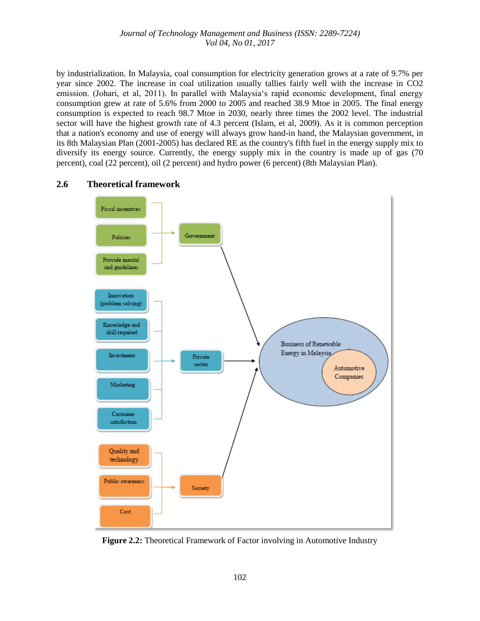by industrialization. In Malaysia, coal consumption for electricity generation grows at a rate of 9.7% per year since 2002. The increase in coal utilization usually tallies fairly well with the increase in CO2 emission. (Johari, et al, 2011). In parallel with Malaysia's rapid economic development, final energy consumption grew at rate of 5.6% from 2000 to 2005 and reached 38.9 Mtoe in 2005. The final energy consumption is expected to reach 98.7 Mtoe in 2030, nearly three times the 2002 level. The industrial sector will have the highest growth rate of 4.3 percent (Islam, et al, 2009). As it is common perception that a nation's economy and use of energy will always grow hand-in hand, the Malaysian government, in its 8th Malaysian Plan (2001-2005) has declared RE as the country's fifth fuel in the energy supply mix to diversify its energy source. Currently, the energy supply mix in the country is made up of gas (70 percent), coal (22 percent), oil (2 percent) and hydro power (6 percent) (8th Malaysian Plan).

### **2.6 Theoretical framework**



**Figure 2.2:** Theoretical Framework of Factor involving in Automotive Industry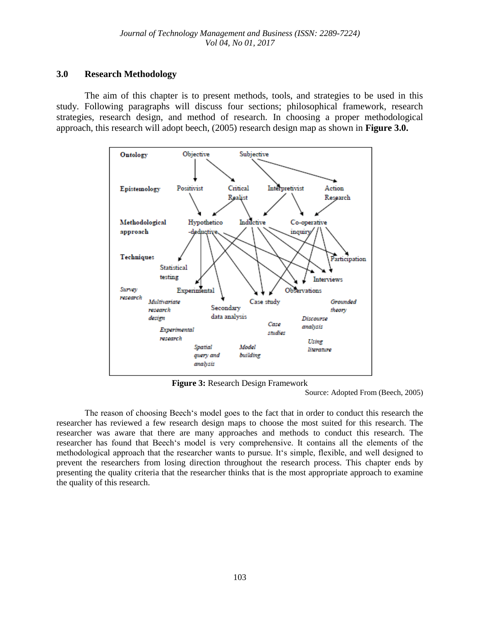## **3.0 Research Methodology**

The aim of this chapter is to present methods, tools, and strategies to be used in this study. Following paragraphs will discuss four sections; philosophical framework, research strategies, research design, and method of research. In choosing a proper methodological approach, this research will adopt beech, (2005) research design map as shown in **Figure 3.0.**



**Figure 3:** Research Design Framework

Source: Adopted From (Beech, 2005)

The reason of choosing Beech's model goes to the fact that in order to conduct this research the researcher has reviewed a few research design maps to choose the most suited for this research. The researcher was aware that there are many approaches and methods to conduct this research. The researcher has found that Beech's model is very comprehensive. It contains all the elements of the methodological approach that the researcher wants to pursue. It's simple, flexible, and well designed to prevent the researchers from losing direction throughout the research process. This chapter ends by presenting the quality criteria that the researcher thinks that is the most appropriate approach to examine the quality of this research.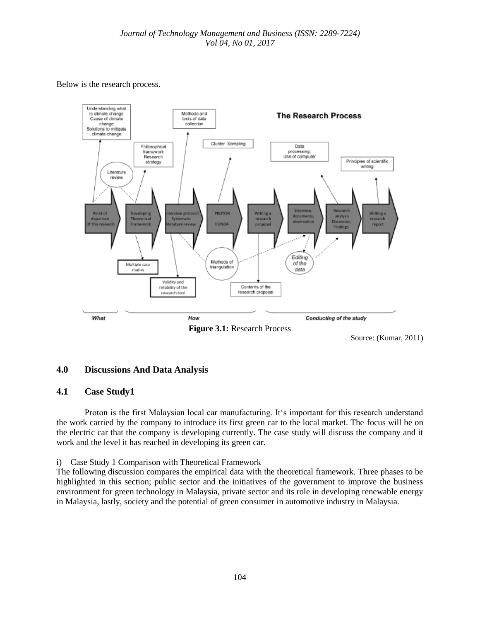Below is the research process.



Source: (Kumar, 2011)

# **4.0 Discussions And Data Analysis**

### **4.1 Case Study1**

Proton is the first Malaysian local car manufacturing. It's important for this research understand the work carried by the company to introduce its first green car to the local market. The focus will be on the electric car that the company is developing currently. The case study will discuss the company and it work and the level it has reached in developing its green car.

i) Case Study 1 Comparison with Theoretical Framework

The following discussion compares the empirical data with the theoretical framework. Three phases to be highlighted in this section; public sector and the initiatives of the government to improve the business environment for green technology in Malaysia, private sector and its role in developing renewable energy in Malaysia, lastly, society and the potential of green consumer in automotive industry in Malaysia.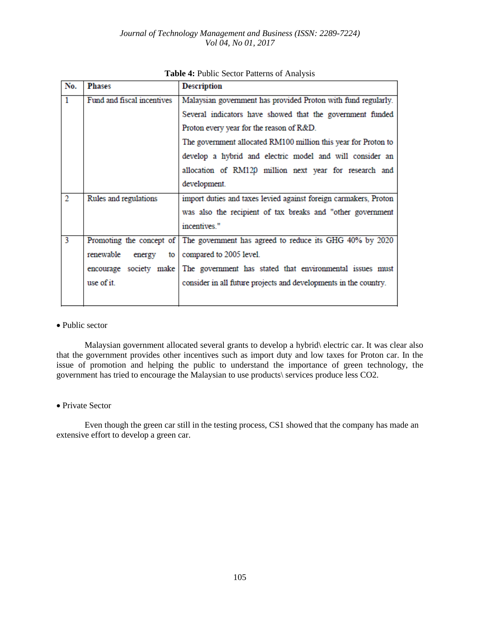| No.            | <b>Phases</b>               | <b>Description</b>                                                               |
|----------------|-----------------------------|----------------------------------------------------------------------------------|
| $\mathbf{1}$   | Fund and fiscal incentives  | Malaysian government has provided Proton with fund regularly.                    |
|                |                             | Several indicators have showed that the government funded                        |
|                |                             | Proton every year for the reason of R&D.                                         |
|                |                             | The government allocated RM100 million this year for Proton to                   |
|                |                             | develop a hybrid and electric model and will consider an                         |
|                |                             | allocation of RM120 million next year for research and                           |
|                |                             | development.                                                                     |
| $\overline{2}$ | Rules and regulations       | import duties and taxes levied against foreign carmakers, Proton                 |
|                |                             | was also the recipient of tax breaks and "other government                       |
|                |                             | incentives."                                                                     |
| 3              |                             | Promoting the concept of The government has agreed to reduce its GHG 40% by 2020 |
|                | renewable<br>energy<br>to I | compared to 2005 level.                                                          |
|                |                             | encourage society make The government has stated that environmental issues must  |
|                | use of it.                  | consider in all future projects and developments in the country.                 |
|                |                             |                                                                                  |

|  |  |  |  |  | Table 4: Public Sector Patterns of Analysis |
|--|--|--|--|--|---------------------------------------------|
|--|--|--|--|--|---------------------------------------------|

#### • Public sector

Malaysian government allocated several grants to develop a hybrid\ electric car. It was clear also that the government provides other incentives such as import duty and low taxes for Proton car. In the issue of promotion and helping the public to understand the importance of green technology, the government has tried to encourage the Malaysian to use products\ services produce less CO2.

#### Private Sector

Even though the green car still in the testing process, CS1 showed that the company has made an extensive effort to develop a green car.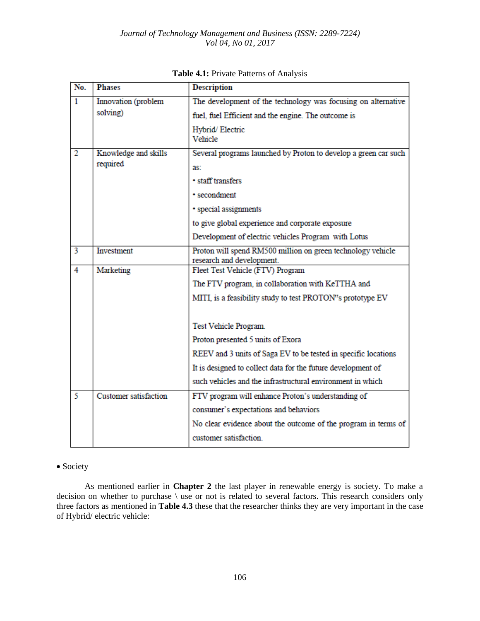| No.            | <b>Phases</b>                | <b>Description</b>                                                                       |
|----------------|------------------------------|------------------------------------------------------------------------------------------|
| 1              | Innovation (problem          | The development of the technology was focusing on alternative                            |
|                | solving)                     | fuel, fuel Efficient and the engine. The outcome is                                      |
|                |                              | Hybrid/Electric<br>Vehicle                                                               |
| $\overline{2}$ | Knowledge and skills         | Several programs launched by Proton to develop a green car such                          |
|                | required                     | as:                                                                                      |
|                |                              | · staff transfers                                                                        |
|                |                              | • secondment                                                                             |
|                |                              | · special assignments                                                                    |
|                |                              | to give global experience and corporate exposure                                         |
|                |                              | Development of electric vehicles Program with Lotus                                      |
| $\overline{3}$ | Investment                   | Proton will spend RM500 million on green technology vehicle<br>research and development. |
| $\overline{4}$ | Marketing                    | Fleet Test Vehicle (FTV) Program                                                         |
|                |                              | The FTV program, in collaboration with KeTTHA and                                        |
|                |                              | MITI, is a feasibility study to test PROTON"s prototype EV                               |
|                |                              |                                                                                          |
|                |                              | Test Vehicle Program.                                                                    |
|                |                              | Proton presented 5 units of Exora                                                        |
|                |                              | REEV and 3 units of Saga EV to be tested in specific locations                           |
|                |                              | It is designed to collect data for the future development of                             |
|                |                              | such vehicles and the infrastructural environment in which                               |
| 5              | <b>Customer</b> satisfaction | FTV program will enhance Proton's understanding of                                       |
|                |                              | consumer's expectations and behaviors                                                    |
|                |                              | No clear evidence about the outcome of the program in terms of                           |
|                |                              | customer satisfaction.                                                                   |

**Table 4.1:** Private Patterns of Analysis

# • Society

As mentioned earlier in **Chapter 2** the last player in renewable energy is society. To make a decision on whether to purchase  $\setminus$  use or not is related to several factors. This research considers only three factors as mentioned in **Table 4.3** these that the researcher thinks they are very important in the case of Hybrid/ electric vehicle: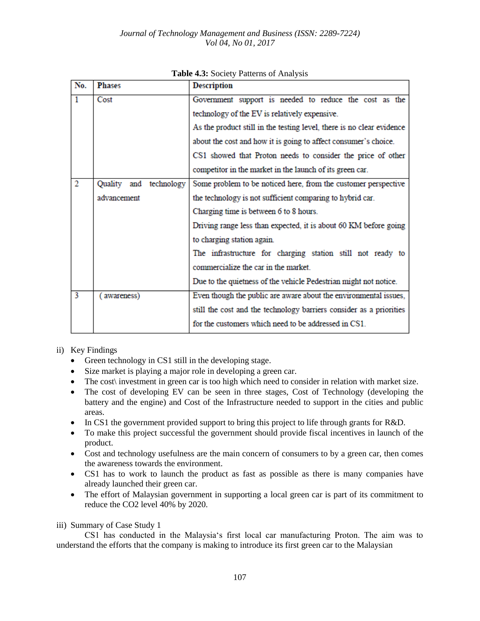| No.            | <b>Phases</b>             | <b>Description</b>                                                    |
|----------------|---------------------------|-----------------------------------------------------------------------|
| $\mathbf{1}$   | Cost                      | Government support is needed to reduce the cost as the                |
|                |                           | technology of the EV is relatively expensive.                         |
|                |                           | As the product still in the testing level, there is no clear evidence |
|                |                           | about the cost and how it is going to affect consumer's choice.       |
|                |                           | CS1 showed that Proton needs to consider the price of other           |
|                |                           | competitor in the market in the launch of its green car.              |
| $\overline{2}$ | Quality<br>and technology | Some problem to be noticed here, from the customer perspective        |
|                | advancement               | the technology is not sufficient comparing to hybrid car.             |
|                |                           | Charging time is between 6 to 8 hours.                                |
|                |                           | Driving range less than expected, it is about 60 KM before going      |
|                |                           | to charging station again.                                            |
|                |                           | The infrastructure for charging station still not ready to            |
|                |                           | commercialize the car in the market.                                  |
|                |                           | Due to the quietness of the vehicle Pedestrian might not notice.      |
| 3              | awareness)                | Even though the public are aware about the environmental issues,      |
|                |                           | still the cost and the technology barriers consider as a priorities   |
|                |                           | for the customers which need to be addressed in CS1                   |

### **Table 4.3:** Society Patterns of Analysis

#### ii) Key Findings

- Green technology in CS1 still in the developing stage.
- Size market is playing a major role in developing a green car.
- The cost investment in green car is too high which need to consider in relation with market size.
- The cost of developing EV can be seen in three stages, Cost of Technology (developing the battery and the engine) and Cost of the Infrastructure needed to support in the cities and public areas.
- In CS1 the government provided support to bring this project to life through grants for R&D.
- To make this project successful the government should provide fiscal incentives in launch of the product.
- Cost and technology usefulness are the main concern of consumers to by a green car, then comes the awareness towards the environment.
- CS1 has to work to launch the product as fast as possible as there is many companies have already launched their green car.
- The effort of Malaysian government in supporting a local green car is part of its commitment to reduce the CO2 level 40% by 2020.

### iii) Summary of Case Study 1

CS1 has conducted in the Malaysia's first local car manufacturing Proton. The aim was to understand the efforts that the company is making to introduce its first green car to the Malaysian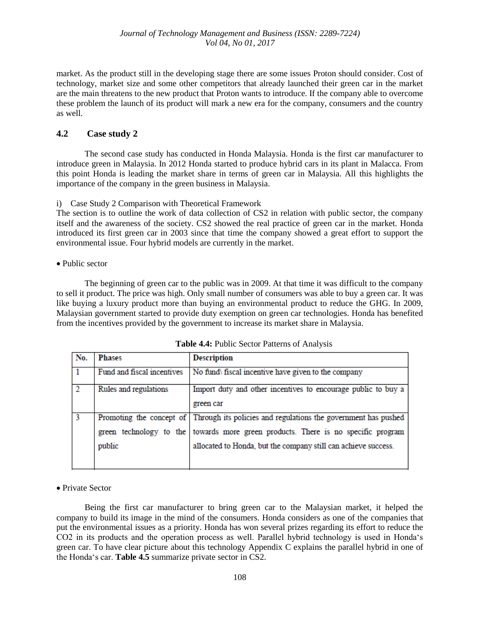market. As the product still in the developing stage there are some issues Proton should consider. Cost of technology, market size and some other competitors that already launched their green car in the market are the main threatens to the new product that Proton wants to introduce. If the company able to overcome these problem the launch of its product will mark a new era for the company, consumers and the country as well.

# **4.2 Case study 2**

The second case study has conducted in Honda Malaysia. Honda is the first car manufacturer to introduce green in Malaysia. In 2012 Honda started to produce hybrid cars in its plant in Malacca. From this point Honda is leading the market share in terms of green car in Malaysia. All this highlights the importance of the company in the green business in Malaysia.

i) Case Study 2 Comparison with Theoretical Framework

The section is to outline the work of data collection of CS2 in relation with public sector, the company itself and the awareness of the society. CS2 showed the real practice of green car in the market. Honda introduced its first green car in 2003 since that time the company showed a great effort to support the environmental issue. Four hybrid models are currently in the market.

#### • Public sector

The beginning of green car to the public was in 2009. At that time it was difficult to the company to sell it product. The price was high. Only small number of consumers was able to buy a green car. It was like buying a luxury product more than buying an environmental product to reduce the GHG. In 2009, Malaysian government started to provide duty exemption on green car technologies. Honda has benefited from the incentives provided by the government to increase its market share in Malaysia.

| No.           | <b>Phases</b>              | <b>Description</b>                                                                                                                                                                                                                             |
|---------------|----------------------------|------------------------------------------------------------------------------------------------------------------------------------------------------------------------------------------------------------------------------------------------|
|               | Fund and fiscal incentives | No fund fiscal incentive have given to the company                                                                                                                                                                                             |
| $\mathcal{D}$ | Rules and regulations      | Import duty and other incentives to encourage public to buy a<br>green car                                                                                                                                                                     |
|               | public                     | Promoting the concept of Through its policies and regulations the government has pushed<br>green technology to the towards more green products. There is no specific program<br>allocated to Honda, but the company still can achieve success. |

#### **Table 4.4:** Public Sector Patterns of Analysis

### Private Sector

Being the first car manufacturer to bring green car to the Malaysian market, it helped the company to build its image in the mind of the consumers. Honda considers as one of the companies that put the environmental issues as a priority. Honda has won several prizes regarding its effort to reduce the CO2 in its products and the operation process as well. Parallel hybrid technology is used in Honda's green car. To have clear picture about this technology Appendix C explains the parallel hybrid in one of the Honda's car. **Table 4.5** summarize private sector in CS2.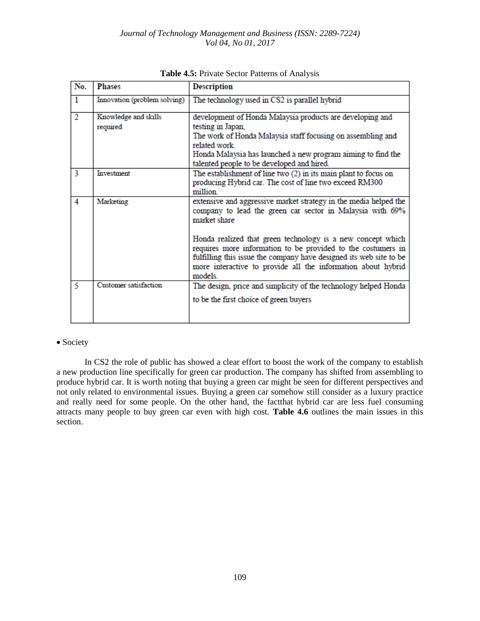| No.            | <b>Phases</b>                    | <b>Description</b>                                                                                                                                                                                                                                                          |
|----------------|----------------------------------|-----------------------------------------------------------------------------------------------------------------------------------------------------------------------------------------------------------------------------------------------------------------------------|
| 1              | Innovation (problem solving)     | The technology used in CS2 is parallel hybrid                                                                                                                                                                                                                               |
| $\overline{2}$ | Knowledge and skills<br>required | development of Honda Malaysia products are developing and<br>testing in Japan,<br>The work of Honda Malaysia staff focusing on assembling and<br>related work<br>Honda Malaysia has launched a new program aiming to find the<br>talented people to be developed and hired. |
| 3              | Investment                       | The establishment of line two (2) in its main plant to focus on<br>producing Hybrid car. The cost of line two exceed RM300<br>million                                                                                                                                       |
| 4              | Marketing                        | extensive and aggressive market strategy in the media helped the<br>company to lead the green car sector in Malaysia with 69%<br>market share                                                                                                                               |
|                |                                  | Honda realized that green technology is a new concept which<br>requires more information to be provided to the costumers in<br>fulfilling this issue the company have designed its web site to be<br>more interactive to provide all the information about hybrid<br>models |
| 5              | Customer satisfaction            | The design, price and simplicity of the technology helped Honda<br>to be the first choice of green buyers                                                                                                                                                                   |

#### **Table 4.5:** Private Sector Patterns of Analysis

#### • Society

In CS2 the role of public has showed a clear effort to boost the work of the company to establish a new production line specifically for green car production. The company has shifted from assembling to produce hybrid car. It is worth noting that buying a green car might be seen for different perspectives and not only related to environmental issues. Buying a green car somehow still consider as a luxury practice and really need for some people. On the other hand, the factthat hybrid car are less fuel consuming attracts many people to buy green car even with high cost. **Table 4.6** outlines the main issues in this section.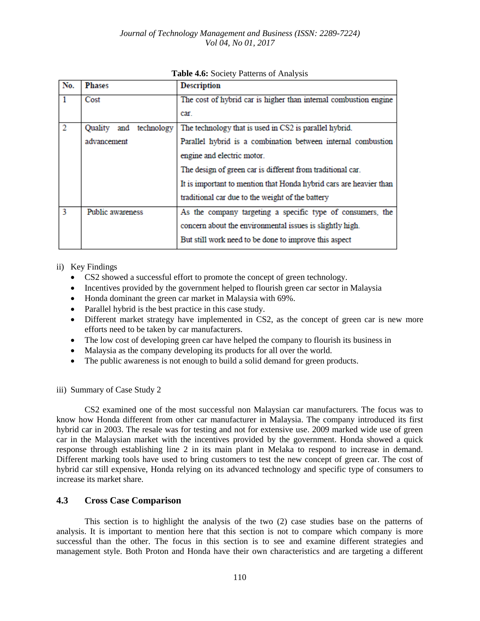| No.            | <b>Phases</b>                | <b>Description</b>                                                 |
|----------------|------------------------------|--------------------------------------------------------------------|
|                | Cost                         | The cost of hybrid car is higher than internal combustion engine   |
|                |                              | car.                                                               |
| $\overline{2}$ | Quality<br>technology<br>and | The technology that is used in CS2 is parallel hybrid.             |
|                | advancement                  | Parallel hybrid is a combination between internal combustion       |
|                |                              | engine and electric motor.                                         |
|                |                              | The design of green car is different from traditional car.         |
|                |                              | It is important to mention that Honda hybrid cars are heavier than |
|                |                              | traditional car due to the weight of the battery                   |
| 3              | Public awareness             | As the company targeting a specific type of consumers, the         |
|                |                              | concern about the environmental issues is slightly high.           |
|                |                              | But still work need to be done to improve this aspect              |

### **Table 4.6:** Society Patterns of Analysis

- ii) Key Findings
	- CS2 showed a successful effort to promote the concept of green technology.
	- Incentives provided by the government helped to flourish green car sector in Malaysia
	- Honda dominant the green car market in Malaysia with 69%.
	- Parallel hybrid is the best practice in this case study.
	- Different market strategy have implemented in CS2, as the concept of green car is new more efforts need to be taken by car manufacturers.
	- The low cost of developing green car have helped the company to flourish its business in
	- Malaysia as the company developing its products for all over the world.
	- The public awareness is not enough to build a solid demand for green products.

iii) Summary of Case Study 2

CS2 examined one of the most successful non Malaysian car manufacturers. The focus was to know how Honda different from other car manufacturer in Malaysia. The company introduced its first hybrid car in 2003. The resale was for testing and not for extensive use. 2009 marked wide use of green car in the Malaysian market with the incentives provided by the government. Honda showed a quick response through establishing line 2 in its main plant in Melaka to respond to increase in demand. Different marking tools have used to bring customers to test the new concept of green car. The cost of hybrid car still expensive, Honda relying on its advanced technology and specific type of consumers to increase its market share.

# **4.3 Cross Case Comparison**

This section is to highlight the analysis of the two (2) case studies base on the patterns of analysis. It is important to mention here that this section is not to compare which company is more successful than the other. The focus in this section is to see and examine different strategies and management style. Both Proton and Honda have their own characteristics and are targeting a different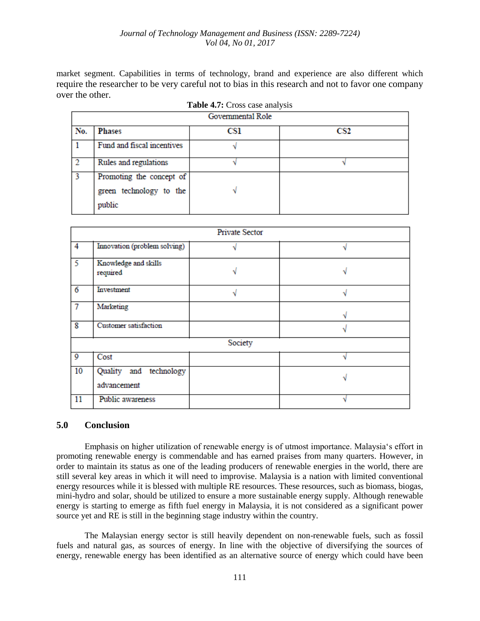market segment. Capabilities in terms of technology, brand and experience are also different which require the researcher to be very careful not to bias in this research and not to favor one company over the other.

**Table 4.7:** Cross case analysis

|     |                            | Governmental Role |                 |
|-----|----------------------------|-------------------|-----------------|
| No. | <b>Phases</b>              | CS1               | CS <sub>2</sub> |
|     | Fund and fiscal incentives |                   |                 |
|     | Rules and regulations      |                   |                 |
| 3   | Promoting the concept of   |                   |                 |
|     | green technology to the    |                   |                 |
|     | public                     |                   |                 |

|                         |                                       | <b>Private Sector</b> |  |
|-------------------------|---------------------------------------|-----------------------|--|
| $\overline{4}$          | Innovation (problem solving)          |                       |  |
| 5                       | Knowledge and skills<br>required      |                       |  |
| $\overline{6}$          | Investment                            |                       |  |
| $\overline{7}$          | Marketing                             |                       |  |
| $\overline{\mathbf{8}}$ | Customer satisfaction                 |                       |  |
|                         |                                       | Society               |  |
| $\overline{9}$          | Cost                                  |                       |  |
| 10                      | Quality and technology<br>advancement |                       |  |
| 11                      | Public awareness                      |                       |  |

| 5.0<br><b>Conclusion</b> |
|--------------------------|
|--------------------------|

Emphasis on higher utilization of renewable energy is of utmost importance. Malaysia's effort in promoting renewable energy is commendable and has earned praises from many quarters. However, in order to maintain its status as one of the leading producers of renewable energies in the world, there are still several key areas in which it will need to improvise. Malaysia is a nation with limited conventional energy resources while it is blessed with multiple RE resources. These resources, such as biomass, biogas, mini-hydro and solar, should be utilized to ensure a more sustainable energy supply. Although renewable energy is starting to emerge as fifth fuel energy in Malaysia, it is not considered as a significant power source yet and RE is still in the beginning stage industry within the country.

The Malaysian energy sector is still heavily dependent on non-renewable fuels, such as fossil fuels and natural gas, as sources of energy. In line with the objective of diversifying the sources of energy, renewable energy has been identified as an alternative source of energy which could have been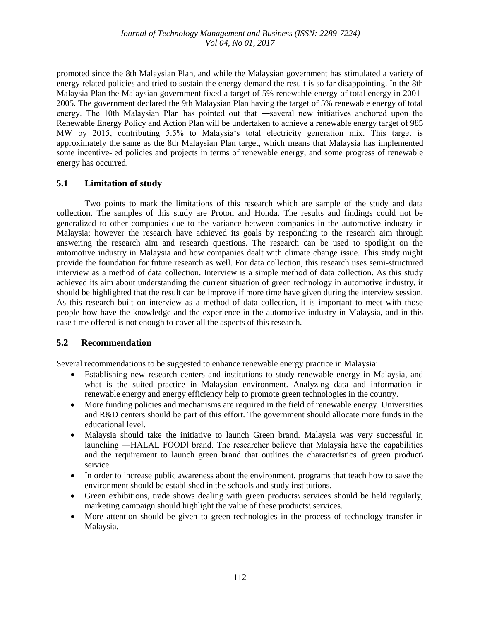promoted since the 8th Malaysian Plan, and while the Malaysian government has stimulated a variety of energy related policies and tried to sustain the energy demand the result is so far disappointing. In the 8th Malaysia Plan the Malaysian government fixed a target of 5% renewable energy of total energy in 2001- 2005. The government declared the 9th Malaysian Plan having the target of 5% renewable energy of total energy. The 10th Malaysian Plan has pointed out that —several new initiatives anchored upon the Renewable Energy Policy and Action Plan will be undertaken to achieve a renewable energy target of 985 MW by 2015, contributing 5.5% to Malaysia's total electricity generation mix. This target is approximately the same as the 8th Malaysian Plan target, which means that Malaysia has implemented some incentive-led policies and projects in terms of renewable energy, and some progress of renewable energy has occurred.

# **5.1 Limitation of study**

Two points to mark the limitations of this research which are sample of the study and data collection. The samples of this study are Proton and Honda. The results and findings could not be generalized to other companies due to the variance between companies in the automotive industry in Malaysia; however the research have achieved its goals by responding to the research aim through answering the research aim and research questions. The research can be used to spotlight on the automotive industry in Malaysia and how companies dealt with climate change issue. This study might provide the foundation for future research as well. For data collection, this research uses semi-structured interview as a method of data collection. Interview is a simple method of data collection. As this study achieved its aim about understanding the current situation of green technology in automotive industry, it should be highlighted that the result can be improve if more time have given during the interview session. As this research built on interview as a method of data collection, it is important to meet with those people how have the knowledge and the experience in the automotive industry in Malaysia, and in this case time offered is not enough to cover all the aspects of this research.

### **5.2 Recommendation**

Several recommendations to be suggested to enhance renewable energy practice in Malaysia:

- Establishing new research centers and institutions to study renewable energy in Malaysia, and what is the suited practice in Malaysian environment. Analyzing data and information in renewable energy and energy efficiency help to promote green technologies in the country.
- More funding policies and mechanisms are required in the field of renewable energy. Universities and R&D centers should be part of this effort. The government should allocate more funds in the educational level.
- Malaysia should take the initiative to launch Green brand. Malaysia was very successful in launching ―HALAL FOOD‖ brand. The researcher believe that Malaysia have the capabilities and the requirement to launch green brand that outlines the characteristics of green product\ service.
- In order to increase public awareness about the environment, programs that teach how to save the environment should be established in the schools and study institutions.
- Green exhibitions, trade shows dealing with green products\ services should be held regularly, marketing campaign should highlight the value of these products\ services.
- More attention should be given to green technologies in the process of technology transfer in Malaysia.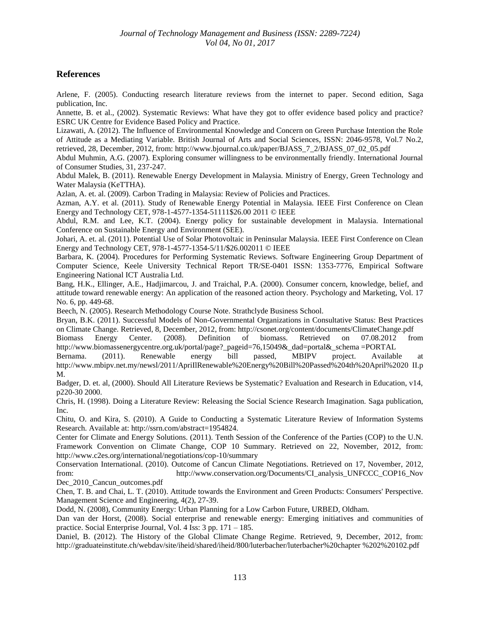# **References**

Arlene, F. (2005). Conducting research literature reviews from the internet to paper. Second edition, Saga publication, Inc.

Annette, B. et al., (2002). Systematic Reviews: What have they got to offer evidence based policy and practice? ESRC UK Centre for Evidence Based Policy and Practice.

Lizawati, A. (2012). The Influence of Environmental Knowledge and Concern on Green Purchase Intention the Role of Attitude as a Mediating Variable. British Journal of Arts and Social Sciences, ISSN: 2046-9578, Vol.7 No.2, retrieved, 28, December, 2012, from: http://www.bjournal.co.uk/paper/BJASS\_7\_2/BJASS\_07\_02\_05.pdf

Abdul Muhmin, A.G. (2007). Exploring consumer willingness to be environmentally friendly. International Journal of Consumer Studies, 31, 237-247.

Abdul Malek, B. (2011). Renewable Energy Development in Malaysia. Ministry of Energy, Green Technology and Water Malaysia (KeTTHA).

Azlan, A. et. al. (2009). Carbon Trading in Malaysia: Review of Policies and Practices.

Azman, A.Y. et al. (2011). Study of Renewable Energy Potential in Malaysia. IEEE First Conference on Clean Energy and Technology CET, 978-1-4577-1354-51111\$26.00 2011 © IEEE

Abdul, R.M. and Lee, K.T. (2004). Energy policy for sustainable development in Malaysia. International Conference on Sustainable Energy and Environment (SEE).

Johari, A. et. al. (2011). Potential Use of Solar Photovoltaic in Peninsular Malaysia. IEEE First Conference on Clean Energy and Technology CET, 978-1-4577-1354-5/11/\$26.002011 © IEEE

Barbara, K. (2004). Procedures for Performing Systematic Reviews. Software Engineering Group Department of Computer Science, Keele University Technical Report TR/SE-0401 ISSN: 1353-7776, Empirical Software Engineering National ICT Australia Ltd.

Bang, H.K., Ellinger, A.E., Hadjimarcou, J. and Traichal, P.A. (2000). Consumer concern, knowledge, belief, and attitude toward renewable energy: An application of the reasoned action theory. Psychology and Marketing, Vol. 17 No. 6, pp. 449-68.

Beech, N. (2005). Research Methodology Course Note. Strathclyde Business School.

Bryan, B.K. (2011). Successful Models of Non-Governmental Organizations in Consultative Status: Best Practices on Climate Change. Retrieved, 8, December, 2012, from: http://csonet.org/content/documents/ClimateChange.pdf<br>Biomass Energy Center. (2008). Definition of biomass. Retrieved on 07.08.2012 fro

Biomass Energy Center. (2008). Definition of biomass. Retrieved on 07.08.2012 from http://www.biomassenergycentre.org.uk/portal/page?\_pageid=76,15049&\_dad=portal&\_schema =PORTAL

Bernama. (2011). Renewable energy bill passed, MBIPV project. Available at http://www.mbipv.net.my/newsl/2011/ApriIlRenewable%20Energy%20Bill%20Passed%204th%20April%2020 II.p M.

Badger, D. et. al, (2000). Should All Literature Reviews be Systematic? Evaluation and Research in Education, v14, p220-30 2000.

Chris, H. (1998). Doing a Literature Review: Releasing the Social Science Research Imagination. Saga publication, Inc.

Chitu, O. and Kira, S. (2010). A Guide to Conducting a Systematic Literature Review of Information Systems Research. Available at: http://ssrn.com/abstract=1954824.

Center for Climate and Energy Solutions. (2011). Tenth Session of the Conference of the Parties (COP) to the U.N. Framework Convention on Climate Change, COP 10 Summary. Retrieved on 22, November, 2012, from: http://www.c2es.org/international/negotiations/cop-10/summary

Conservation International. (2010). Outcome of Cancun Climate Negotiations. Retrieved on 17, November, 2012, from: http://www.conservation.org/Documents/CI\_analysis\_UNFCCC\_COP16\_Nov Dec 2010 Cancun outcomes.pdf

Chen, T. B. and Chai, L. T. (2010). Attitude towards the Environment and Green Products: Consumers' Perspective. Management Science and Engineering, 4(2), 27-39.

Dodd, N. (2008), Community Energy: Urban Planning for a Low Carbon Future, URBED, Oldham.

Dan van der Horst, (2008). Social enterprise and renewable energy: Emerging initiatives and communities of practice. Social Enterprise Journal, Vol. 4 Iss: 3 pp. 171 – 185.

Daniel, B. (2012). The History of the Global Climate Change Regime. Retrieved, 9, December, 2012, from: http://graduateinstitute.ch/webdav/site/iheid/shared/iheid/800/luterbacher/luterbacher%20chapter %202%20102.pdf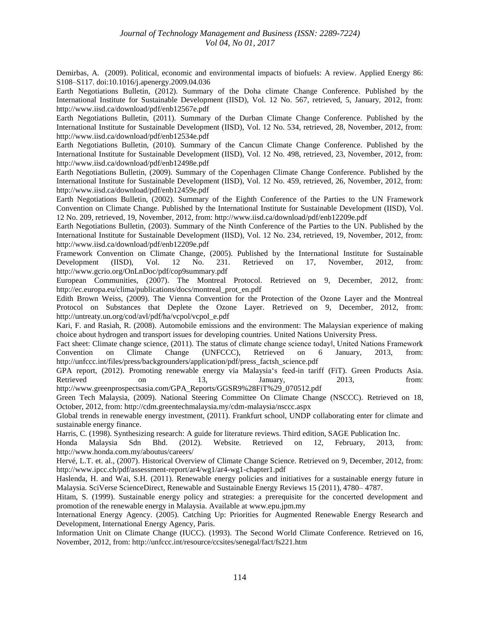Demirbas, A. (2009). Political, economic and environmental impacts of biofuels: A review. Applied Energy 86: S108–S117. doi:10.1016/j.apenergy.2009.04.036

Earth Negotiations Bulletin, (2012). Summary of the Doha climate Change Conference. Published by the International Institute for Sustainable Development (IISD), Vol. 12 No. 567, retrieved, 5, January, 2012, from: http://www.iisd.ca/download/pdf/enb12567e.pdf

Earth Negotiations Bulletin, (2011). Summary of the Durban Climate Change Conference. Published by the International Institute for Sustainable Development (IISD), Vol. 12 No. 534, retrieved, 28, November, 2012, from: http://www.iisd.ca/download/pdf/enb12534e.pdf

Earth Negotiations Bulletin, (2010). Summary of the Cancun Climate Change Conference. Published by the International Institute for Sustainable Development (IISD), Vol. 12 No. 498, retrieved, 23, November, 2012, from: http://www.iisd.ca/download/pdf/enb12498e.pdf

Earth Negotiations Bulletin, (2009). Summary of the Copenhagen Climate Change Conference. Published by the International Institute for Sustainable Development (IISD), Vol. 12 No. 459, retrieved, 26, November, 2012, from: http://www.iisd.ca/download/pdf/enb12459e.pdf

Earth Negotiations Bulletin, (2002). Summary of the Eighth Conference of the Parties to the UN Framework Convention on Climate Change. Published by the International Institute for Sustainable Development (IISD), Vol. 12 No. 209, retrieved, 19, November, 2012, from: http://www.iisd.ca/download/pdf/enb12209e.pdf

Earth Negotiations Bulletin, (2003). Summary of the Ninth Conference of the Parties to the UN. Published by the International Institute for Sustainable Development (IISD), Vol. 12 No. 234, retrieved, 19, November, 2012, from: http://www.iisd.ca/download/pdf/enb12209e.pdf

Framework Convention on Climate Change, (2005). Published by the International Institute for Sustainable Development (IISD), Vol. 12 No. 231. Retrieved on 17, November, 2012, from: http://www.gcrio.org/OnLnDoc/pdf/cop9summary.pdf

European Communities, (2007). The Montreal Protocol. Retrieved on 9, December, 2012, from: http://ec.europa.eu/clima/publications/docs/montreal\_prot\_en.pdf

Edith Brown Weiss, (2009). The Vienna Convention for the Protection of the Ozone Layer and the Montreal Protocol on Substances that Deplete the Ozone Layer. Retrieved on 9, December, 2012, from: http://untreaty.un.org/cod/avl/pdf/ha/vcpol/vcpol\_e.pdf

Kari, F. and Rasiah, R. (2008). Automobile emissions and the environment: The Malaysian experience of making choice about hydrogen and transport issues for developing countries. United Nations University Press.

Fact sheet: Climate change science, (2011). The status of climate change science todayl, United Nations Framework Convention on Climate Change (UNFCCC), Retrieved on 6 January, 2013, from: http://unfccc.int/files/press/backgrounders/application/pdf/press\_factsh\_science.pdf

GPA report, (2012). Promoting renewable energy via Malaysia's feed-in tariff (FiT). Green Products Asia. Retrieved on 13, January, 2013, from:

http://www.greenprospectsasia.com/GPA\_Reports/GGSR9%28FiT%29\_070512.pdf

Green Tech Malaysia, (2009). National Steering Committee On Climate Change (NSCCC). Retrieved on 18, October, 2012, from: http://cdm.greentechmalaysia.my/cdm-malaysia/nsccc.aspx

Global trends in renewable energy investment, (2011). Frankfurt school, UNDP collaborating enter for climate and sustainable energy finance.

Harris, C. (1998). Synthesizing research: A guide for literature reviews. Third edition, SAGE Publication Inc.

Honda Malaysia Sdn Bhd. (2012). Website. Retrieved on 12, February, 2013, from: http://www.honda.com.my/aboutus/careers/

Hervé, L.T. et. al., (2007). Historical Overview of Climate Change Science. Retrieved on 9, December, 2012, from: http://www.ipcc.ch/pdf/assessment-report/ar4/wg1/ar4-wg1-chapter1.pdf

Haslenda, H. and Wai, S.H. (2011). Renewable energy policies and initiatives for a sustainable energy future in Malaysia. SciVerse ScienceDirect, Renewable and Sustainable Energy Reviews 15 (2011), 4780– 4787.

Hitam, S. (1999). Sustainable energy policy and strategies: a prerequisite for the concerted development and promotion of the renewable energy in Malaysia. Available at www.epu.jpm.my

International Energy Agency. (2005). Catching Up: Priorities for Augmented Renewable Energy Research and Development, International Energy Agency, Paris.

Information Unit on Climate Change (IUCC). (1993). The Second World Climate Conference. Retrieved on 16, November, 2012, from: http://unfccc.int/resource/ccsites/senegal/fact/fs221.htm